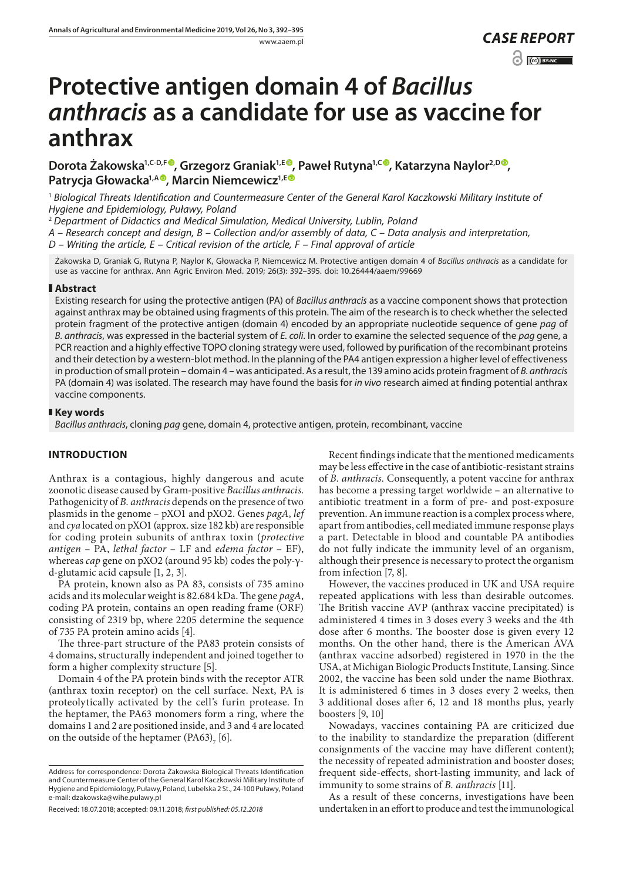# **Protective antigen domain 4 of** *Bacillus anthracis* **as a candidate for use as vaccine for anthrax**

Dorota Żakowska<sup>1[,](https://orcid.org/0000-0002-1307-5015)C-D,F®</sup>, Grzegorz Graniak<sup>1,E®</sup>, Paweł Rutyna<sup>1,C®</sup>, Katarzyna Naylor<sup>2,D®</sup>, **Patrycja Głowacka1,[A](https://orcid.org/0000-0002-6409-5454) , Marcin Niemcewicz1,[E](https://orcid.org/0000-0002-4159-8227)**

<sup>1</sup> *Biological Threats Identification and Countermeasure Center of the General Karol Kaczkowski Military Institute of Hygiene and Epidemiology, Puławy, Poland*

<sup>2</sup> *Department of Didactics and Medical Simulation, Medical University, Lublin, Poland*

*A – Research concept and design, B – Collection and/or assembly of data, C – Data analysis and interpretation,* 

*D – Writing the article, E – Critical revision of the article, F – Final approval of article*

Żakowska D, Graniak G, Rutyna P, Naylor K, Głowacka P, Niemcewicz M. Protective antigen domain 4 of *Bacillus anthracis* as a candidate for use as vaccine for anthrax. Ann Agric Environ Med. 2019; 26(3): 392–395. doi: 10.26444/aaem/99669

## **Abstract**

Existing research for using the protective antigen (PA) of *Bacillus anthracis* as a vaccine component shows that protection against anthrax may be obtained using fragments of this protein. The aim of the research is to check whether the selected protein fragment of the protective antigen (domain 4) encoded by an appropriate nucleotide sequence of gene *pag* of *B. anthracis*, was expressed in the bacterial system of *E. coli*. In order to examine the selected sequence of the *pag* gene, a PCR reaction and a highly effective TOPO cloning strategy were used, followed by purification of the recombinant proteins and their detection by a western-blot method. In the planning of the PA4 antigen expression a higher level of effectiveness in production of small protein – domain 4 – was anticipated. As a result, the 139 amino acids protein fragment of *B. anthracis* PA (domain 4) was isolated. The research may have found the basis for *in vivo* research aimed at finding potential anthrax vaccine components.

## **Key words**

*Bacillus anthracis*, cloning *pag* gene, domain 4, protective antigen, protein, recombinant, vaccine

# **INTRODUCTION**

Anthrax is a contagious, highly dangerous and acute zoonotic disease caused by Gram-positive *Bacillus anthracis*. Pathogenicity of *B. anthracis* depends on the presence of two plasmids in the genome – pXO1 and pXO2. Genes *pagA*, *lef*  and *cya* located on pXO1 (approx. size 182 kb) are responsible for coding protein subunits of anthrax toxin (*protective antigen* – PA, *lethal factor* – LF and *edema factor* – EF), whereas *cap* gene on pXO2 (around 95 kb) codes the poly-γd-glutamic acid capsule [1, 2, 3].

PA protein, known also as PA 83, consists of 735 amino acids and its molecular weight is 82.684 kDa. The gene *pagA*, coding PA protein, contains an open reading frame (ORF) consisting of 2319 bp, where 2205 determine the sequence of 735 PA protein amino acids [4].

The three-part structure of the PA83 protein consists of 4 domains, structurally independent and joined together to form a higher complexity structure [5].

Domain 4 of the PA protein binds with the receptor ATR (anthrax toxin receptor) on the cell surface. Next, PA is proteolytically activated by the cell's furin protease. In the heptamer, the PA63 monomers form a ring, where the domains 1 and 2 are positioned inside, and 3 and 4 are located on the outside of the heptamer  $(PA63)$ <sub>7</sub> [6].

Recent findings indicate that the mentioned medicaments may be less effective in the case of antibiotic-resistant strains of *B. anthracis.* Consequently, a potent vaccine for anthrax has become a pressing target worldwide – an alternative to antibiotic treatment in a form of pre- and post-exposure prevention. An immune reaction is a complex process where, apart from antibodies, cell mediated immune response plays a part. Detectable in blood and countable PA antibodies do not fully indicate the immunity level of an organism, although their presence is necessary to protect the organism from infection [7, 8].

However, the vaccines produced in UK and USA require repeated applications with less than desirable outcomes. The British vaccine AVP (anthrax vaccine precipitated) is administered 4 times in 3 doses every 3 weeks and the 4th dose after 6 months. The booster dose is given every 12 months. On the other hand, there is the American AVA (anthrax vaccine adsorbed) registered in 1970 in the the USA, at Michigan Biologic Products Institute, Lansing. Since 2002, the vaccine has been sold under the name Biothrax. It is administered 6 times in 3 doses every 2 weeks, then 3 additional doses after 6, 12 and 18 months plus, yearly boosters [9, 10]

Nowadays, vaccines containing PA are criticized due to the inability to standardize the preparation (different consignments of the vaccine may have different content); the necessity of repeated administration and booster doses; frequent side-effects, short-lasting immunity, and lack of immunity to some strains of *B. anthracis* [11].

As a result of these concerns, investigations have been undertaken in an effort to produce and test the immunological

Address for correspondence: Dorota Żakowska Biological Threats Identification and Countermeasure Center of the General Karol Kaczkowski Military Institute of Hygiene and Epidemiology, Puławy, Poland, Lubelska 2 St., 24-100 Puławy, Poland e-mail: dzakowska@wihe.pulawy.pl

Received: 18.07.2018; accepted: 09.11.2018; *first published: 05.12.2018*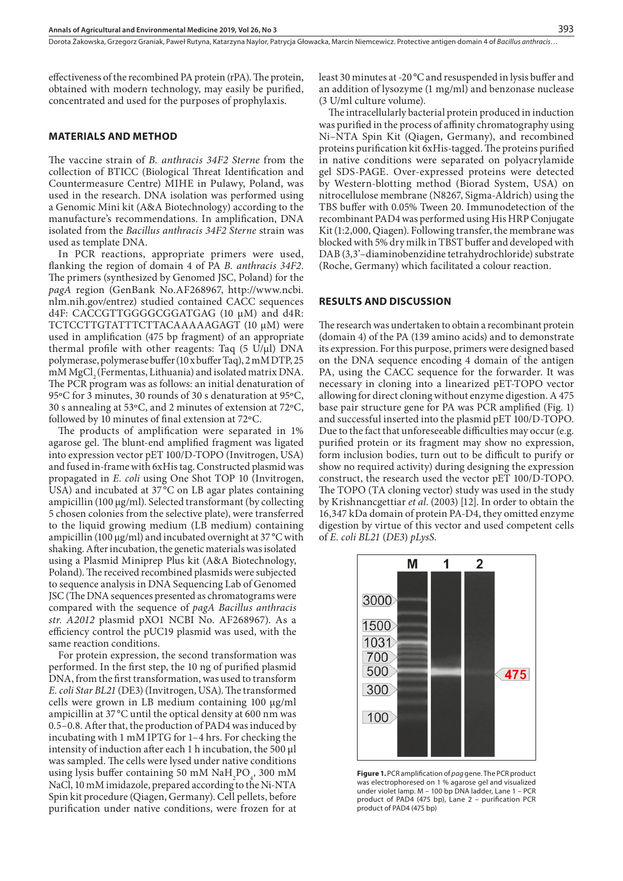effectiveness of the recombined PA protein (rPA). The protein, obtained with modern technology, may easily be purified, concentrated and used for the purposes of prophylaxis.

# **MATERIALS AND METHOD**

The vaccine strain of *B. anthracis 34F2 Sterne* from the collection of BTICC (Biological Threat Identification and Countermeasure Centre) MIHE in Pulawy, Poland, was used in the research. DNA isolation was performed using a Genomic Mini kit (A&A Biotechnology) according to the manufacture's recommendations. In amplification, DNA isolated from the *Bacillus anthracis 34F2 Sterne* strain was used as template DNA.

In PCR reactions, appropriate primers were used, flanking the region of domain 4 of PA *B. anthracis 34F2*. The primers (synthesized by Genomed JSC, Poland) for the *pagA* region (GenBank No.AF268967, http://www.ncbi. nlm.nih.gov/entrez) studied contained CACC sequences d4F: CACCGTTGGGGCGGATGAG (10 µM) and d4R: TCTCCTTGTATTTCTTACAAAAAGAGT (10 µM) were used in amplification (475 bp fragment) of an appropriate thermal profile with other reagents: Taq  $(5 \text{ U/}\mu\text{I})$  DNA polymerase, polymerase buffer (10 x buffer Taq), 2 mM DTP, 25 mM MgCl<sub>2</sub> (Fermentas, Lithuania) and isolated matrix DNA. The PCR program was as follows: an initial denaturation of 95ºC for 3 minutes, 30 rounds of 30 s denaturation at 95ºC, 30 s annealing at 53ºC, and 2 minutes of extension at 72ºC, followed by 10 minutes of final extension at 72ºC.

The products of amplification were separated in 1% agarose gel. The blunt-end amplified fragment was ligated into expression vector pET 100/D-TOPO (Invitrogen, USA) and fused in-frame with 6xHis tag. Constructed plasmid was propagated in *E. coli* using One Shot TOP 10 (Invitrogen, USA) and incubated at 37°C on LB agar plates containing ampicillin (100 µg/ml). Selected transformant (by collecting 5 chosen colonies from the selective plate), were transferred to the liquid growing medium (LB medium) containing ampicillin (100 µg/ml) and incubated overnight at 37 °C with shaking. After incubation, the genetic materials was isolated using a Plasmid Miniprep Plus kit (A&A Biotechnology, Poland). The received recombined plasmids were subjected to sequence analysis in DNA Sequencing Lab of Genomed JSC (The DNA sequences presented as chromatograms were compared with the sequence of *pagA Bacillus anthracis str. A2012* plasmid pXO1 NCBI No. AF268967). As a efficiency control the pUC19 plasmid was used, with the same reaction conditions.

For protein expression, the second transformation was performed. In the first step, the 10 ng of purified plasmid DNA, from the first transformation, was used to transform *E. coli Star BL21* (DE3) (Invitrogen, USA). The transformed cells were grown in LB medium containing 100 μg/ml ampicillin at 37 °C until the optical density at 600 nm was 0.5–0.8. After that, the production of PAD4 was induced by incubating with 1 mM IPTG for 1–4 hrs. For checking the intensity of induction after each 1 h incubation, the 500  $\mu l$ was sampled. The cells were lysed under native conditions using lysis buffer containing 50 mM  $\text{NaH}_2\text{PO}_4$ , 300 mM NaCl, 10 mM imidazole, prepared according to the Ni-NTA Spin kit procedure (Qiagen, Germany). Cell pellets, before purification under native conditions, were frozen for at

least 30 minutes at -20 °C and resuspended in lysis buffer and an addition of lysozyme (1 mg/ml) and benzonase nuclease (3 U/ml culture volume).

The intracellularly bacterial protein produced in induction was purified in the process of affinity chromatography using Ni–NTA Spin Kit (Qiagen, Germany), and recombined proteins purification kit 6xHis-tagged. The proteins purified in native conditions were separated on polyacrylamide gel SDS-PAGE. Over-expressed proteins were detected by Western-blotting method (Biorad System, USA) on nitrocellulose membrane (N8267, Sigma-Aldrich) using the TBS buffer with 0.05% Tween 20. Immunodetection of the recombinant PAD4 was performed using His HRP Conjugate Kit (1:2,000, Qiagen). Following transfer, the membrane was blocked with 5% dry milk in TBST buffer and developed with DAB (3,3'–diaminobenzidine tetrahydrochloride) substrate (Roche, Germany) which facilitated a colour reaction.

#### **RESULTS AND DISCUSSION**

The research was undertaken to obtain a recombinant protein (domain 4) of the PA (139 amino acids) and to demonstrate its expression. For this purpose, primers were designed based on the DNA sequence encoding 4 domain of the antigen PA, using the CACC sequence for the forwarder. It was necessary in cloning into a linearized pET-TOPO vector allowing for direct cloning without enzyme digestion. A 475 base pair structure gene for PA was PCR amplified (Fig. 1) and successful inserted into the plasmid pET 100/D-TOPO. Due to the fact that unforeseeable difficulties may occur (e.g. purified protein or its fragment may show no expression, form inclusion bodies, turn out to be difficult to purify or show no required activity) during designing the expression construct, the research used the vector pET 100/D-TOPO. The TOPO (TA cloning vector) study was used in the study by Krishnancgettiar *et al*. (2003) [12]. In order to obtain the 16,347 kDa domain of protein PA-D4, they omitted enzyme digestion by virtue of this vector and used competent cells of *E. coli BL21* (*DE3*) *pLysS.*



**Figure 1.** PCR amplification of *pag* gene. The PCR product was electrophoresed on 1 % agarose gel and visualized under violet lamp. M – 100 bp DNA ladder, Lane 1 – PCR product of PAD4 (475 bp), Lane 2 – purification PCR product of PAD4 (475 bp)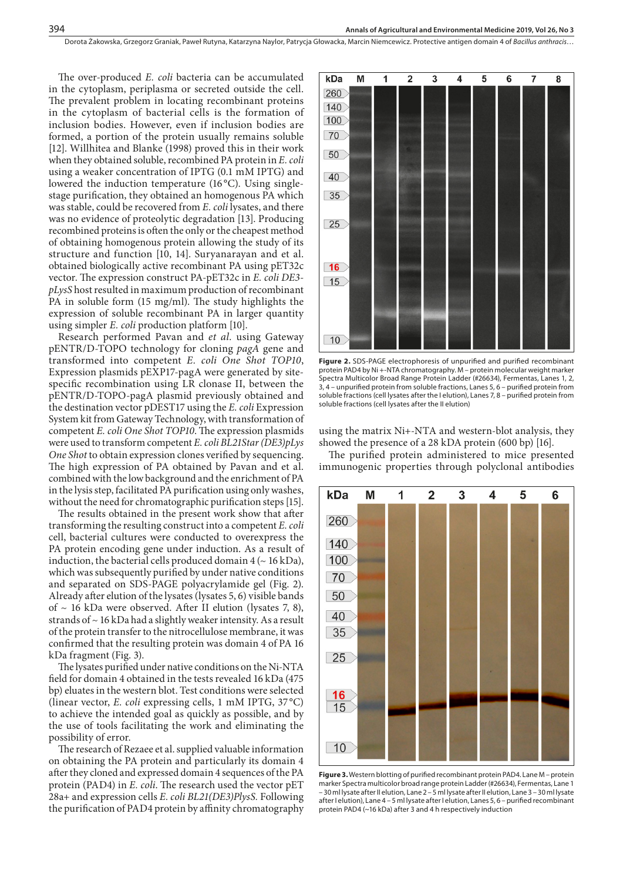The over-produced *E. coli* bacteria can be accumulated in the cytoplasm, periplasma or secreted outside the cell. The prevalent problem in locating recombinant proteins in the cytoplasm of bacterial cells is the formation of inclusion bodies. However, even if inclusion bodies are formed, a portion of the protein usually remains soluble [12]. Willhitea and Blanke (1998) proved this in their work when they obtained soluble, recombined PA protein in *E. coli*  using a weaker concentration of IPTG (0.1 mM IPTG) and lowered the induction temperature (16<sup>o</sup>C). Using singlestage purification, they obtained an homogenous PA which was stable, could be recovered from *E. coli* lysates, and there was no evidence of proteolytic degradation [13]. Producing recombined proteins is often the only or the cheapest method of obtaining homogenous protein allowing the study of its structure and function [10, 14]. Suryanarayan and et al. obtained biologically active recombinant PA using pET32c vector. The expression construct PA-pET32c in *E. coli DE3 pLysS* host resulted in maximum production of recombinant PA in soluble form (15 mg/ml). The study highlights the expression of soluble recombinant PA in larger quantity using simpler *E. coli* production platform [10].

Research performed Pavan and *et al.* using Gateway pENTR/D-TOPO technology for cloning *pagA* gene and transformed into competent *E. coli One Shot TOP10*, Expression plasmids pEXP17-pagA were generated by sitespecific recombination using LR clonase II, between the pENTR/D-TOPO-pagA plasmid previously obtained and the destination vector pDEST17 using the *E. coli* Expression System kit from Gateway Technology, with transformation of competent *E. coli One Shot TOP10*. The expression plasmids were used to transform competent *E. coli BL21Star (DE3)pLys One Shot* to obtain expression clones verified by sequencing. The high expression of PA obtained by Pavan and et al. combined with the low background and the enrichment of PA in the lysis step, facilitated PA purification using only washes, without the need for chromatographic purification steps [15].

The results obtained in the present work show that after transforming the resulting construct into a competent *E. coli* cell, bacterial cultures were conducted to overexpress the PA protein encoding gene under induction. As a result of induction, the bacterial cells produced domain  $4 \left( \sim 16 \text{ kDa} \right)$ , which was subsequently purified by under native conditions and separated on SDS-PAGE polyacrylamide gel (Fig. 2). Already after elution of the lysates (lysates 5, 6) visible bands of  $\sim$  16 kDa were observed. After II elution (lysates 7, 8), strands of ~ 16 kDa had a slightly weaker intensity. As a result of the protein transfer to the nitrocellulose membrane, it was confirmed that the resulting protein was domain 4 of PA 16 kDa fragment (Fig. 3).

The lysates purified under native conditions on the Ni-NTA field for domain 4 obtained in the tests revealed 16 kDa (475 bp) eluates in the western blot. Test conditions were selected (linear vector, *E. coli* expressing cells, 1 mM IPTG, 37 °C) to achieve the intended goal as quickly as possible, and by the use of tools facilitating the work and eliminating the possibility of error.

The research of Rezaee et al. supplied valuable information on obtaining the PA protein and particularly its domain 4 after they cloned and expressed domain 4 sequences of the PA protein (PAD4) in *E. coli*. The research used the vector pET 28a+ and expression cells *E. coli BL21(DE3)PlysS.* Following the purification of PAD4 protein by affinity chromatography



**Figure 2.** SDS-PAGE electrophoresis of unpurified and purified recombinant protein PAD4 by Ni +-NTA chromatography. M – protein molecular weight marker Spectra Multicolor Broad Range Protein Ladder (#26634), Fermentas, Lanes 1, 2, 3, 4 – unpurified protein from soluble fractions, Lanes 5, 6 – purified protein from soluble fractions (cell lysates after the I elution), Lanes 7, 8 – purified protein from soluble fractions (cell lysates after the II elution)

using the matrix Ni+-NTA and western-blot analysis, they showed the presence of a 28 kDA protein (600 bp) [16].

The purified protein administered to mice presented immunogenic properties through polyclonal antibodies



**Figure 3.** Western blotting of purified recombinant protein PAD4. Lane M – protein marker Spectra multicolor broad range protein Ladder (#26634), Fermentas, Lane 1 – 30 ml lysate after II elution, Lane 2 – 5 ml lysate after II elution, Lane 3 – 30 ml lysate after I elution), Lane 4 – 5 ml lysate after I elution, Lanes 5, 6 – purified recombinant protein PAD4 (~16 kDa) after 3 and 4 h respectively induction